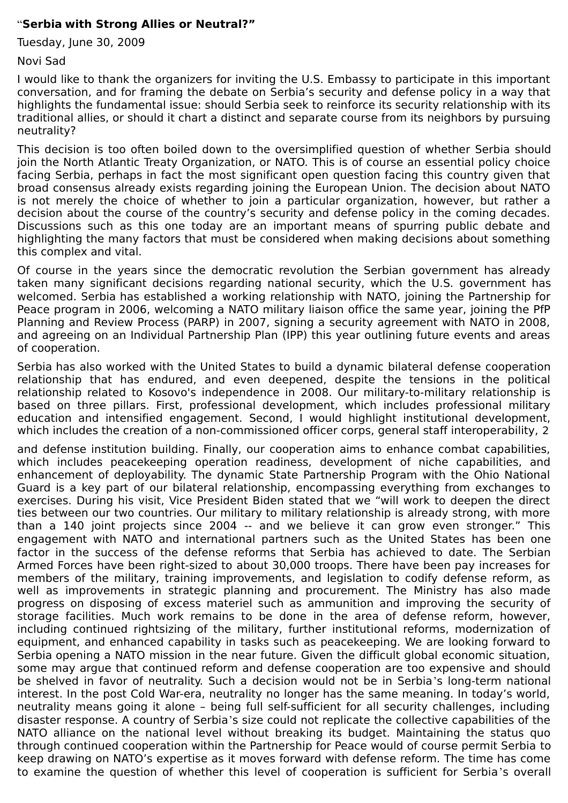## "**Serbia with Strong Allies or Neutral?"**

Tuesday, June 30, 2009

Novi Sad

I would like to thank the organizers for inviting the U.S. Embassy to participate in this important conversation, and for framing the debate on Serbia's security and defense policy in a way that highlights the fundamental issue: should Serbia seek to reinforce its security relationship with its traditional allies, or should it chart a distinct and separate course from its neighbors by pursuing neutrality?

This decision is too often boiled down to the oversimplified question of whether Serbia should join the North Atlantic Treaty Organization, or NATO. This is of course an essential policy choice facing Serbia, perhaps in fact the most significant open question facing this country given that broad consensus already exists regarding joining the European Union. The decision about NATO is not merely the choice of whether to join a particular organization, however, but rather a decision about the course of the country's security and defense policy in the coming decades. Discussions such as this one today are an important means of spurring public debate and highlighting the many factors that must be considered when making decisions about something this complex and vital.

Of course in the years since the democratic revolution the Serbian government has already taken many significant decisions regarding national security, which the U.S. government has welcomed. Serbia has established a working relationship with NATO, joining the Partnership for Peace program in 2006, welcoming a NATO military liaison office the same year, joining the PfP Planning and Review Process (PARP) in 2007, signing a security agreement with NATO in 2008, and agreeing on an Individual Partnership Plan (IPP) this year outlining future events and areas of cooperation.

Serbia has also worked with the United States to build a dynamic bilateral defense cooperation relationship that has endured, and even deepened, despite the tensions in the political relationship related to Kosovo's independence in 2008. Our military-to-military relationship is based on three pillars. First, professional development, which includes professional military education and intensified engagement. Second, I would highlight institutional development, which includes the creation of a non-commissioned officer corps, general staff interoperability, 2

and defense institution building. Finally, our cooperation aims to enhance combat capabilities, which includes peacekeeping operation readiness, development of niche capabilities, and enhancement of deployability. The dynamic State Partnership Program with the Ohio National Guard is a key part of our bilateral relationship, encompassing everything from exchanges to exercises. During his visit, Vice President Biden stated that we "will work to deepen the direct ties between our two countries. Our military to military relationship is already strong, with more than a 140 joint projects since 2004 -- and we believe it can grow even stronger." This engagement with NATO and international partners such as the United States has been one factor in the success of the defense reforms that Serbia has achieved to date. The Serbian Armed Forces have been right-sized to about 30,000 troops. There have been pay increases for members of the military, training improvements, and legislation to codify defense reform, as well as improvements in strategic planning and procurement. The Ministry has also made progress on disposing of excess materiel such as ammunition and improving the security of storage facilities. Much work remains to be done in the area of defense reform, however, including continued rightsizing of the military, further institutional reforms, modernization of equipment, and enhanced capability in tasks such as peacekeeping. We are looking forward to Serbia opening a NATO mission in the near future. Given the difficult global economic situation, some may argue that continued reform and defense cooperation are too expensive and should be shelved in favor of neutrality. Such a decision would not be in Serbia's long-term national interest. In the post Cold War-era, neutrality no longer has the same meaning. In today's world, neutrality means going it alone – being full self-sufficient for all security challenges, including disaster response. A country of Serbia's size could not replicate the collective capabilities of the NATO alliance on the national level without breaking its budget. Maintaining the status quo through continued cooperation within the Partnership for Peace would of course permit Serbia to keep drawing on NATO's expertise as it moves forward with defense reform. The time has come to examine the question of whether this level of cooperation is sufficient for Serbia's overall